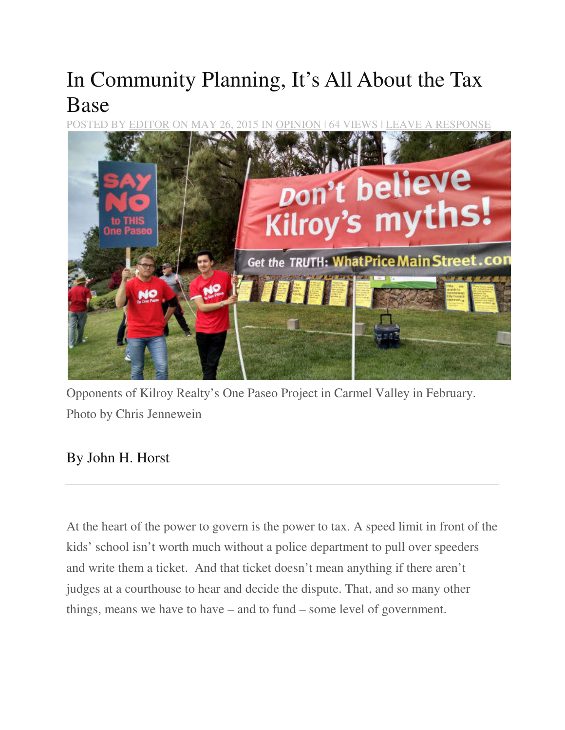# In Community Planning, It's All About the Tax Base

POSTED BY EDITOR ON MAY 26, 2015 IN OPINION | 64 VIEWS | LEAVE A RESPONSE



Opponents of Kilroy Realty's One Paseo Project in Carmel Valley in February. Photo by Chris Jennewein

## By John H. Horst

At the heart of the power to govern is the power to tax. A speed limit in front of the kids' school isn't worth much without a police department to pull over speeders and write them a ticket. And that ticket doesn't mean anything if there aren't judges at a courthouse to hear and decide the dispute. That, and so many other things, means we have to have – and to fund – some level of government.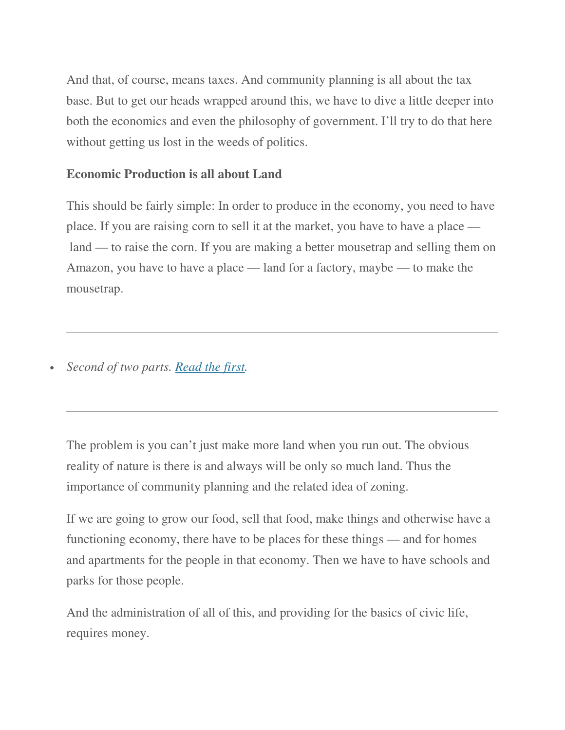And that, of course, means taxes. And community planning is all about the tax base. But to get our heads wrapped around this, we have to dive a little deeper into both the economics and even the philosophy of government. I'll try to do that here without getting us lost in the weeds of politics.

### **Economic Production is all about Land**

This should be fairly simple: In order to produce in the economy, you need to have place. If you are raising corn to sell it at the market, you have to have a place land — to raise the corn. If you are making a better mousetrap and selling them on Amazon, you have to have a place — land for a factory, maybe — to make the mousetrap.

• *Second of two parts. Read the first.*

The problem is you can't just make more land when you run out. The obvious reality of nature is there is and always will be only so much land. Thus the importance of community planning and the related idea of zoning.

If we are going to grow our food, sell that food, make things and otherwise have a functioning economy, there have to be places for these things — and for homes and apartments for the people in that economy. Then we have to have schools and parks for those people.

And the administration of all of this, and providing for the basics of civic life, requires money.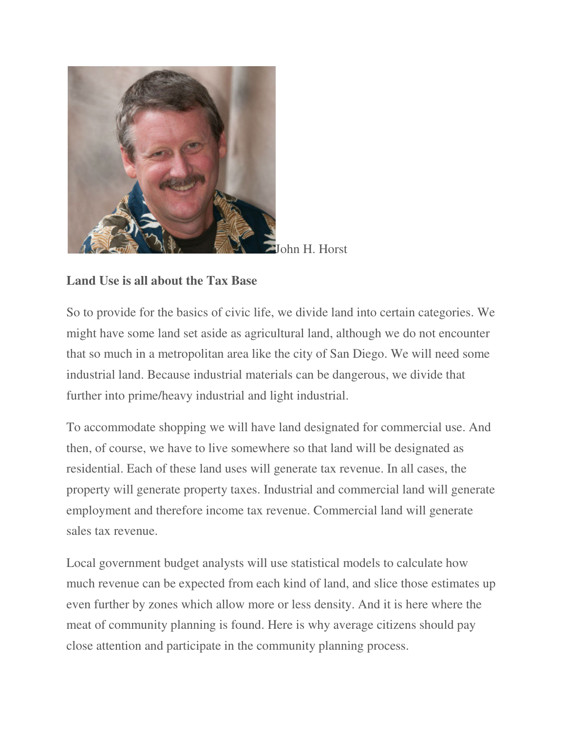

John H. Horst

### **Land Use is all about the Tax Base**

So to provide for the basics of civic life, we divide land into certain categories. We might have some land set aside as agricultural land, although we do not encounter that so much in a metropolitan area like the city of San Diego. We will need some industrial land. Because industrial materials can be dangerous, we divide that further into prime/heavy industrial and light industrial.

To accommodate shopping we will have land designated for commercial use. And then, of course, we have to live somewhere so that land will be designated as residential. Each of these land uses will generate tax revenue. In all cases, the property will generate property taxes. Industrial and commercial land will generate employment and therefore income tax revenue. Commercial land will generate sales tax revenue.

Local government budget analysts will use statistical models to calculate how much revenue can be expected from each kind of land, and slice those estimates up even further by zones which allow more or less density. And it is here where the meat of community planning is found. Here is why average citizens should pay close attention and participate in the community planning process.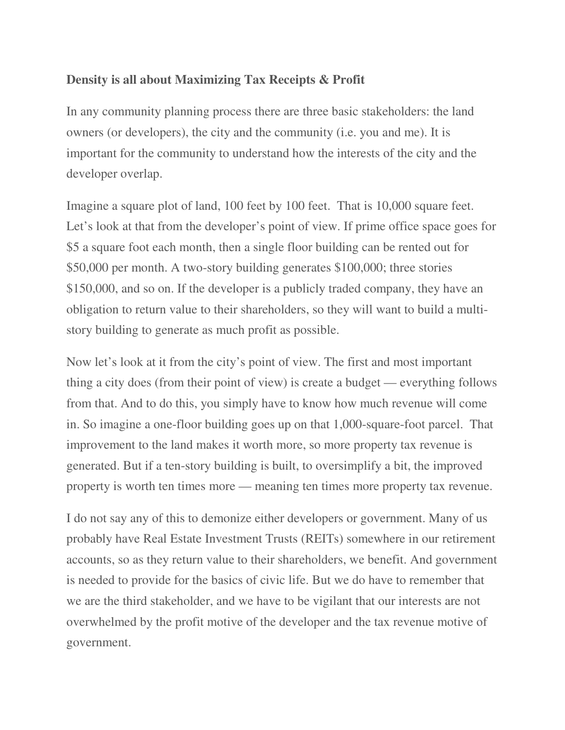#### **Density is all about Maximizing Tax Receipts & Profit**

In any community planning process there are three basic stakeholders: the land owners (or developers), the city and the community (i.e. you and me). It is important for the community to understand how the interests of the city and the developer overlap.

Imagine a square plot of land, 100 feet by 100 feet. That is 10,000 square feet. Let's look at that from the developer's point of view. If prime office space goes for \$5 a square foot each month, then a single floor building can be rented out for \$50,000 per month. A two-story building generates \$100,000; three stories \$150,000, and so on. If the developer is a publicly traded company, they have an obligation to return value to their shareholders, so they will want to build a multistory building to generate as much profit as possible.

Now let's look at it from the city's point of view. The first and most important thing a city does (from their point of view) is create a budget — everything follows from that. And to do this, you simply have to know how much revenue will come in. So imagine a one-floor building goes up on that 1,000-square-foot parcel. That improvement to the land makes it worth more, so more property tax revenue is generated. But if a ten-story building is built, to oversimplify a bit, the improved property is worth ten times more — meaning ten times more property tax revenue.

I do not say any of this to demonize either developers or government. Many of us probably have Real Estate Investment Trusts (REITs) somewhere in our retirement accounts, so as they return value to their shareholders, we benefit. And government is needed to provide for the basics of civic life. But we do have to remember that we are the third stakeholder, and we have to be vigilant that our interests are not overwhelmed by the profit motive of the developer and the tax revenue motive of government.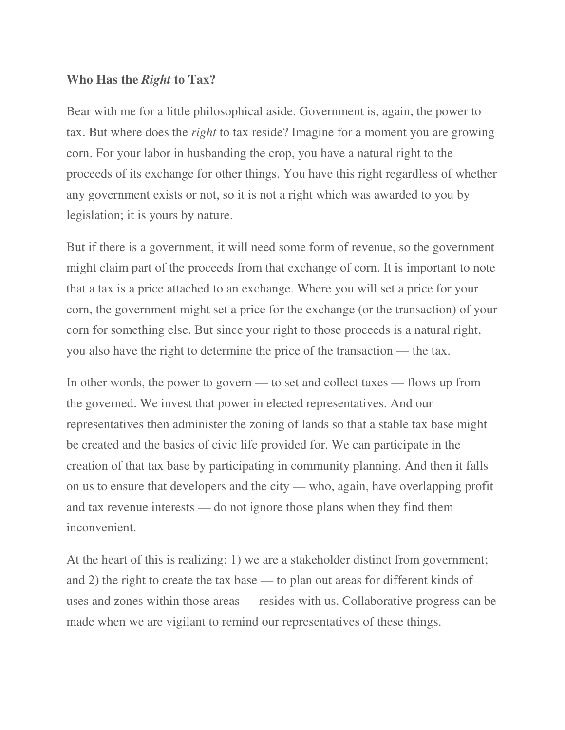#### **Who Has the** *Right* **to Tax?**

Bear with me for a little philosophical aside. Government is, again, the power to tax. But where does the *right* to tax reside? Imagine for a moment you are growing corn. For your labor in husbanding the crop, you have a natural right to the proceeds of its exchange for other things. You have this right regardless of whether any government exists or not, so it is not a right which was awarded to you by legislation; it is yours by nature.

But if there is a government, it will need some form of revenue, so the government might claim part of the proceeds from that exchange of corn. It is important to note that a tax is a price attached to an exchange. Where you will set a price for your corn, the government might set a price for the exchange (or the transaction) of your corn for something else. But since your right to those proceeds is a natural right, you also have the right to determine the price of the transaction — the tax.

In other words, the power to govern — to set and collect taxes — flows up from the governed. We invest that power in elected representatives. And our representatives then administer the zoning of lands so that a stable tax base might be created and the basics of civic life provided for. We can participate in the creation of that tax base by participating in community planning. And then it falls on us to ensure that developers and the city — who, again, have overlapping profit and tax revenue interests — do not ignore those plans when they find them inconvenient.

At the heart of this is realizing: 1) we are a stakeholder distinct from government; and 2) the right to create the tax base — to plan out areas for different kinds of uses and zones within those areas — resides with us. Collaborative progress can be made when we are vigilant to remind our representatives of these things.